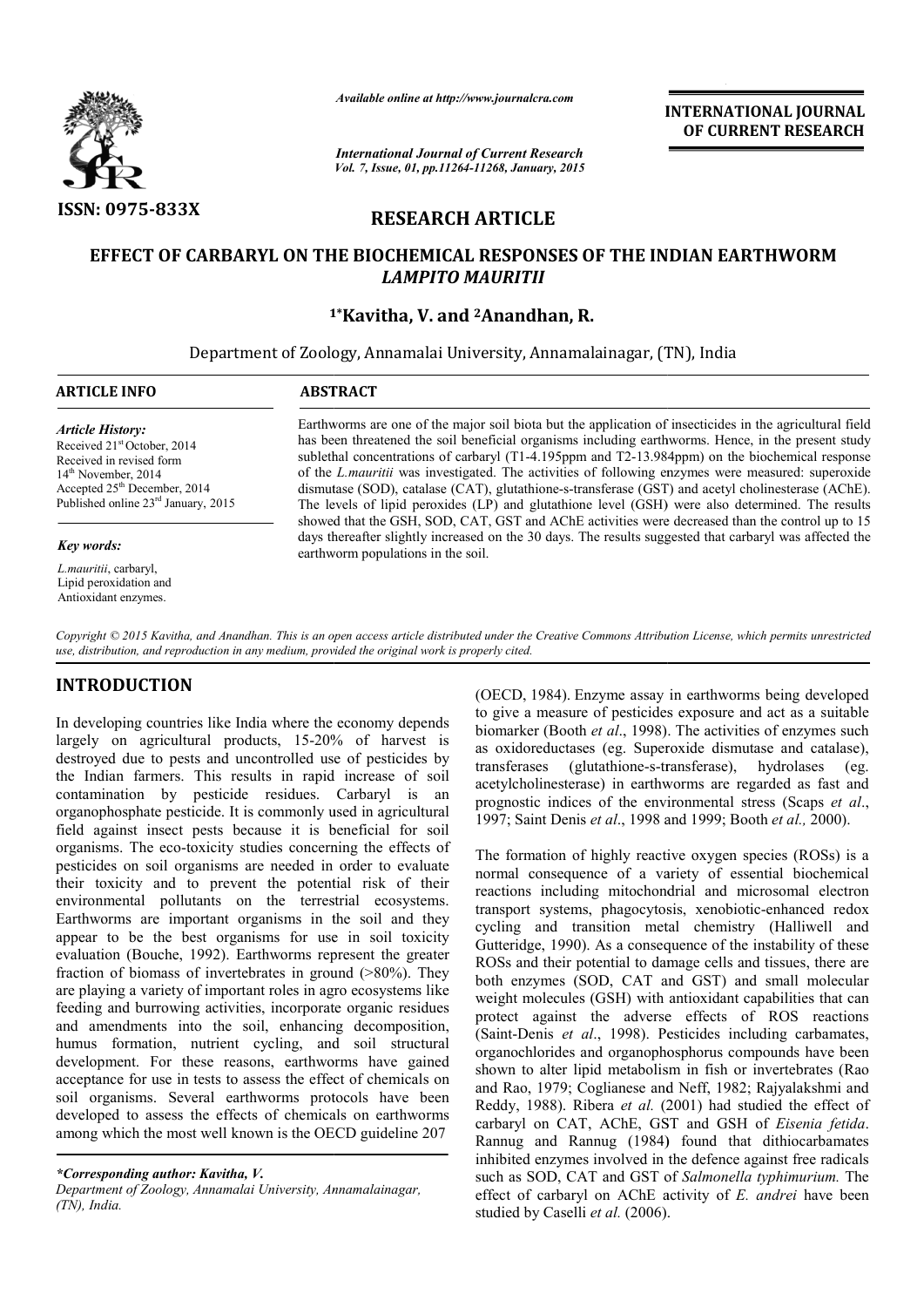

*Available online at http://www.journalcra.com*

*International Journal of Current Research Vol. 7, Issue, 01, pp.11264-11268, January, 2015* **INTERNATIONAL INTERNATIONAL JOURNAL OF CURRENT RESEARCH** 

# **RESEARCH ARTICLE**

# EFFECT OF CARBARYL ON THE BIOCHEMICAL RESPONSES OF THE INDIAN EARTHWORM *LAMPITO MAURITII*

# **1\* 1\*Kavitha, V. and 2Anandhan, R.**

Department of Zoology, Annamalai University, Annamalainagar, (TN), India

| <b>ARTICLE INFO</b>                                                                                                                                                                                                    | <b>ABSTRACT</b>                                                                                                                                                                                                                                                                                                                                                                                                                                                                                                                                                                                                                                                                                                                      |  |  |  |  |
|------------------------------------------------------------------------------------------------------------------------------------------------------------------------------------------------------------------------|--------------------------------------------------------------------------------------------------------------------------------------------------------------------------------------------------------------------------------------------------------------------------------------------------------------------------------------------------------------------------------------------------------------------------------------------------------------------------------------------------------------------------------------------------------------------------------------------------------------------------------------------------------------------------------------------------------------------------------------|--|--|--|--|
| <b>Article History:</b><br>Received 21 <sup>st</sup> October, 2014<br>Received in revised form<br>14 <sup>th</sup> November, 2014<br>Accepted 25 <sup>th</sup> December, 2014<br>Published online $23rd$ January, 2015 | Earthworms are one of the major soil biota but the application of insecticides in the agricultural field<br>has been threatened the soil beneficial organisms including earthworms. Hence, in the present study<br>sublethal concentrations of carbaryl (T1-4.195ppm and T2-13.984ppm) on the biochemical response<br>of the L.mauritii was investigated. The activities of following enzymes were measured: superoxide<br>dismutase (SOD), catalase (CAT), glutathione-s-transferase (GST) and acetyl cholinesterase (AChE).<br>The levels of lipid peroxides (LP) and glutathione level (GSH) were also determined. The results<br>showed that the GSH, SOD, CAT, GST and AChE activities were decreased than the control up to 15 |  |  |  |  |
| Key words:                                                                                                                                                                                                             | days thereafter slightly increased on the 30 days. The results suggested that carbaryl was affected the<br>earthworm populations in the soil.                                                                                                                                                                                                                                                                                                                                                                                                                                                                                                                                                                                        |  |  |  |  |
| L.mauritii, carbaryl,<br>Lipid peroxidation and<br>Antioxidant enzymes.                                                                                                                                                |                                                                                                                                                                                                                                                                                                                                                                                                                                                                                                                                                                                                                                                                                                                                      |  |  |  |  |

*Copyright © 2015 Kavitha, and Anandhan. This is an open access article distributed under the Creative Commons Att Attribution License, which ribution License, permits unrestricted use, distribution, and reproduction in any medium, provided the original work is properly cited.*

# **INTRODUCTION**

In developing countries like India where the economy depends largely on agricultural products, 15-20% of harvest is destroyed due to pests and uncontrolled use of pesticides by the Indian farmers. This results in rapid increase of soil contamination by pesticide residues. Carbaryl is an organophosphate pesticide. It is commonly used in agricultural field against insect pests because it is beneficial for soil organisms. The eco-toxicity studies concerning the effects of pesticides on soil organisms are needed in order to evaluate their toxicity and to prevent the potential risk of their environmental pollutants on the terrestrial ecosystems. Earthworms are important organisms in the soil and they appear to be the best organisms for use in soil toxicity evaluation (Bouche, 1992). Earthworms represent the greater fraction of biomass of invertebrates in ground (>80%). They are playing a variety of important roles in agro ecosystems like feeding and burrowing activities, incorporate organic residues and amendments into the soil, enhancing decomposition, humus formation, nutrient cycling, and soil structural development. For these reasons, earthworms have gained acceptance for use in tests to assess the effect of chemicals on soil organisms. Several earthworms protocols have been developed to assess the effects of chemicals on earthworms among which the most well known is the OECD guideline 207 on agricultural products, 15-20% of harvest is<br>yed due to pests and uncontrolled use of pesticides by<br>dian farmers. This results in rapid increase of soil<br>iniation by pesticide residues. Carbaryl is an<br>apphosphate pestici

*\*Corresponding author: Kavitha, V.* 

*Department of Zoology, Annamalai University, Annamalainagar, (TN), India.*

(OECD, 1984). Enzyme assay in earthworms being developed to give a measure of pesticides exposure and act as a suitable biomarker (Booth *et al*., 1998). The activities of enzymes such as oxidoreductases (eg. Superoxide dismutase and catalase), transferases (glutathione-s-transferase), hydrolases (eg. acetylcholinesterase) in earthworms are regarded as fast and prognostic indices of the environmental stress (Scaps et al., 1997; Saint Denis et al., 1998 and 1999; Booth et al., 2000). zyme assay in earthworms being developed<br>of pesticides exposure and act as a suitable<br>*et al.*, 1998). The activities of enzymes such<br>is (eg. Superoxide dismutase and catalase),<br>tathione-s-transferase), hydrolases (eg.<br>e)

The formation of highly reactive oxygen species (ROSs) is a normal consequence of a variety of essential biochemical reactions including mitochondrial and microsomal electron transport systems, phagocytosis, xenobiotic-enhanced redox reactions including mitochondrial and microsomal electron transport systems, phagocytosis, xenobiotic cycling and transition metal chemistry (Halliwell and Gutteridge, 1990). As a consequence of the instability of these ROSs and their potential to damage cells and tissues, there are both enzymes (SOD, CAT and GST) and small molecular weight molecules (GSH) with antioxidant capabilities that can protect against the adverse effects of ROS reactions (Saint-Denis *et al*., 1998). Pesticides including carbamates, organochlorides and organophosphorus compounds have been shown to alter lipid metabolism in fish or invertebrates (Rao and Rao, 1979; Coglianese and Neff, 1982; Rajyalakshmi and Reddy, 1988). Ribera *et al.* (2001) had studied the effect of carbaryl on CAT, AChE, GST and GSH of Eisenia fetida. Rannug and Rannug (1984) found that dithiocarbamates Rannug and Rannug (1984) found that dithiocarbamates inhibited enzymes involved in the defence against free radicals such as SOD, CAT and GST of *Salmonella typhimurium.* The effect of carbaryl on AChE activity of *E. andrei* have been studied by Caselli *et al.* (2006). ridge, 1990). As a consequence of the instability of these and their potential to damage cells and tissues, there are enzymes (SOD, CAT and GST) and small molecular that can structure and molecular can st that can st that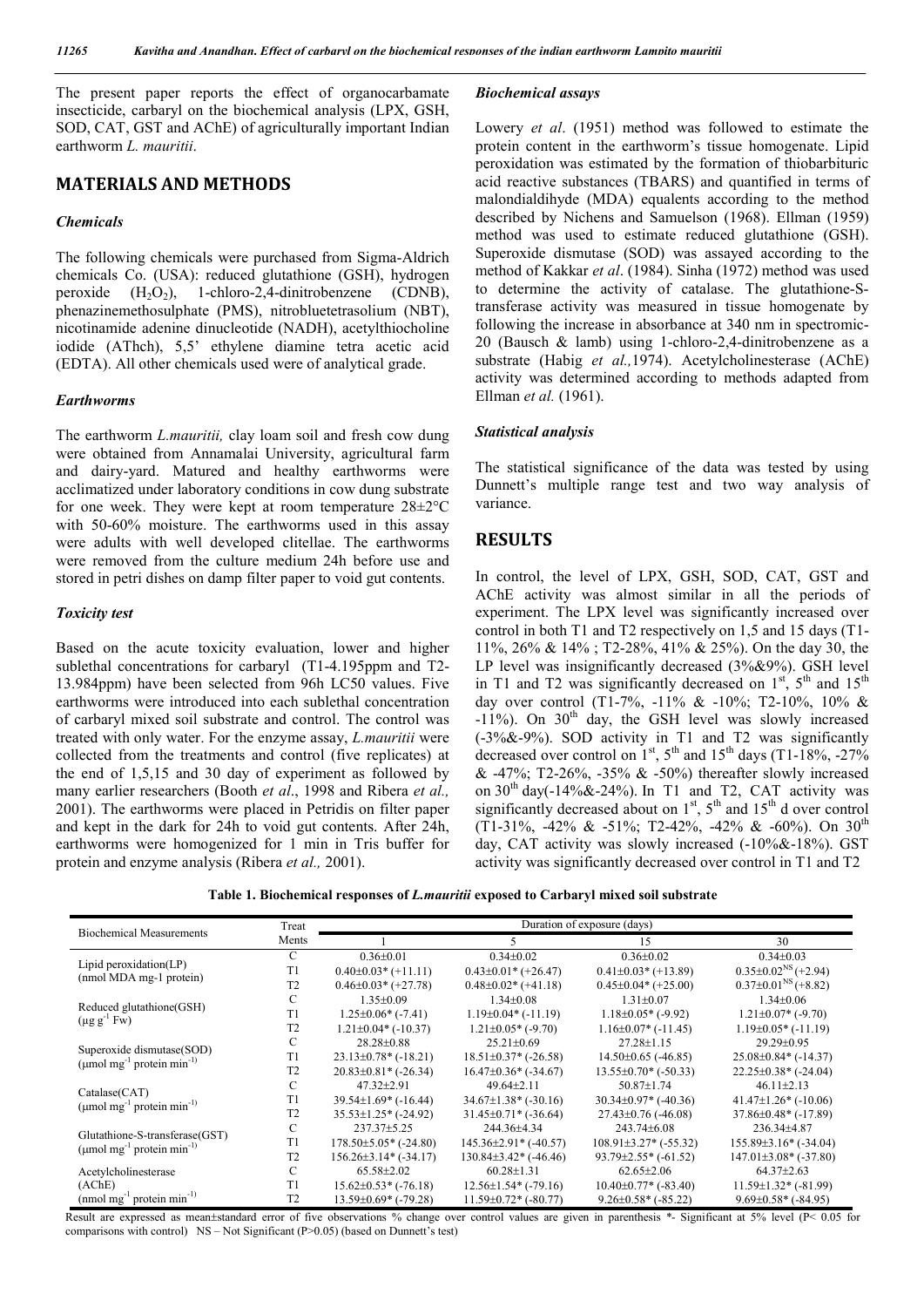The present paper reports the effect of organocarbamate insecticide, carbaryl on the biochemical analysis (LPX, GSH, SOD, CAT, GST and AChE) of agriculturally important Indian earthworm *L. mauritii*.

# **MATERIALS AND METHODS**

### *Chemicals*

The following chemicals were purchased from Sigma-Aldrich chemicals Co. (USA): reduced glutathione (GSH), hydrogen peroxide  $(H_2O_2)$ , 1-chloro-2,4-dinitrobenzene (CDNB), phenazinemethosulphate (PMS), nitrobluetetrasolium (NBT), nicotinamide adenine dinucleotide (NADH), acetylthiocholine iodide (AThch), 5,5' ethylene diamine tetra acetic acid (EDTA). All other chemicals used were of analytical grade.

### *Earthworms*

The earthworm *L.mauritii,* clay loam soil and fresh cow dung were obtained from Annamalai University, agricultural farm and dairy-yard. Matured and healthy earthworms were acclimatized under laboratory conditions in cow dung substrate for one week. They were kept at room temperature 28±2°C with 50-60% moisture. The earthworms used in this assay were adults with well developed clitellae. The earthworms were removed from the culture medium 24h before use and stored in petri dishes on damp filter paper to void gut contents.

#### *Toxicity test*

Based on the acute toxicity evaluation, lower and higher sublethal concentrations for carbaryl (T1-4.195ppm and T2- 13.984ppm) have been selected from 96h LC50 values. Five earthworms were introduced into each sublethal concentration of carbaryl mixed soil substrate and control. The control was treated with only water. For the enzyme assay, *L.mauritii* were collected from the treatments and control (five replicates) at the end of 1,5,15 and 30 day of experiment as followed by many earlier researchers (Booth *et al*., 1998 and Ribera *et al.,*  2001). The earthworms were placed in Petridis on filter paper and kept in the dark for 24h to void gut contents. After 24h, earthworms were homogenized for 1 min in Tris buffer for protein and enzyme analysis (Ribera *et al.,* 2001).

### *Biochemical assays*

Lowery *et al*. (1951) method was followed to estimate the protein content in the earthworm's tissue homogenate. Lipid peroxidation was estimated by the formation of thiobarbituric acid reactive substances (TBARS) and quantified in terms of malondialdihyde (MDA) equalents according to the method described by Nichens and Samuelson (1968). Ellman (1959) method was used to estimate reduced glutathione (GSH). Superoxide dismutase (SOD) was assayed according to the method of Kakkar *et al*. (1984). Sinha (1972) method was used to determine the activity of catalase. The glutathione-Stransferase activity was measured in tissue homogenate by following the increase in absorbance at 340 nm in spectromic-20 (Bausch & lamb) using 1-chloro-2,4-dinitrobenzene as a substrate (Habig *et al.,*1974). Acetylcholinesterase (AChE) activity was determined according to methods adapted from Ellman *et al.* (1961).

### *Statistical analysis*

The statistical significance of the data was tested by using Dunnett's multiple range test and two way analysis of variance.

# **RESULTS**

In control, the level of LPX, GSH, SOD, CAT, GST and AChE activity was almost similar in all the periods of experiment. The LPX level was significantly increased over control in both T1 and T2 respectively on 1,5 and 15 days (T1- 11%, 26% & 14% ; T2-28%, 41% & 25%). On the day 30, the LP level was insignificantly decreased (3%&9%). GSH level in T1 and T2 was significantly decreased on  $1<sup>st</sup>$ ,  $5<sup>th</sup>$  and  $15<sup>th</sup>$ day over control (T1-7%, -11% & -10%; T2-10%, 10% &  $-11\%$ ). On 30<sup>th</sup> day, the GSH level was slowly increased (-3%&-9%). SOD activity in T1 and T2 was significantly decreased over control on  $1^{st}$ ,  $5^{th}$  and  $15^{th}$  days (T1-18%, -27%  $& 47\%$ ; T2-26%, -35%  $& 50\%$  thereafter slowly increased on  $30<sup>th</sup>$  day(-14%&-24%). In T1 and T2, CAT activity was significantly decreased about on  $1<sup>st</sup>$ ,  $5<sup>th</sup>$  and  $15<sup>th</sup>$  d over control (T1-31%, -42% & -51%; T2-42%, -42% & -60%). On  $30^{\text{th}}$ day, CAT activity was slowly increased (-10%&-18%). GST activity was significantly decreased over control in T1 and T2

**Table 1. Biochemical responses of** *L.mauritii* **exposed to Carbaryl mixed soil substrate**

| <b>Biochemical Measurements</b>                                                     | Treat          | Duration of exposure (days) |                             |                             |                                     |  |
|-------------------------------------------------------------------------------------|----------------|-----------------------------|-----------------------------|-----------------------------|-------------------------------------|--|
|                                                                                     | Ments          |                             |                             | 15                          | 30                                  |  |
| Lipid peroxidation(LP)<br>(nmol MDA mg-1 protein)                                   | C              | $0.36 \pm 0.01$             | $0.34 \pm 0.02$             | $0.36 \pm 0.02$             | $0.34 \pm 0.03$                     |  |
|                                                                                     | T1             | $0.40\pm0.03*$ (+11.11)     | $0.43\pm0.01*$ (+26.47)     | $0.41\pm0.03*$ (+13.89)     | $0.35 \pm 0.02^{\text{NS}}$ (+2.94) |  |
|                                                                                     | T <sub>2</sub> | $0.46\pm0.03*$ (+27.78)     | $0.48 \pm 0.02$ * (+41.18)  | $0.45\pm0.04*$ (+25.00)     | $0.37 \pm 0.01^{\text{NS}}$ (+8.82) |  |
| Reduced glutathione(GSH)<br>$(\mu g g^{-1} F w)$                                    | C              | $1.35 \pm 0.09$             | $1.34 \pm 0.08$             | $1.31 \pm 0.07$             | $1.34 \pm 0.06$                     |  |
|                                                                                     | T1             | $1.25 \pm 0.06$ * $(-7.41)$ | $1.19\pm0.04*$ (-11.19)     | $1.18\pm0.05*$ (-9.92)      | $1.21 \pm 0.07$ (-9.70)             |  |
|                                                                                     | T <sub>2</sub> | $1.21 \pm 0.04*$ (-10.37)   | $1.21 \pm 0.05$ * (-9.70)   | $1.16\pm0.07*$ (-11.45)     | $1.19\pm0.05*$ (-11.19)             |  |
| Superoxide dismutase(SOD)<br>$(\mu$ mol mg <sup>-1</sup> protein min <sup>-1)</sup> | C              | $28.28 \pm 0.88$            | $25.21 \pm 0.69$            | $27.28 \pm 1.15$            | $29.29 \pm 0.95$                    |  |
|                                                                                     | T1             | $23.13\pm0.78$ * (-18.21)   | $18.51\pm0.37*$ (-26.58)    | $14.50\pm0.65$ (-46.85)     | $25.08 \pm 0.84$ * (-14.37)         |  |
|                                                                                     | T <sub>2</sub> | $20.83 \pm 0.81$ * (-26.34) | $16.47\pm0.36*$ (-34.67)    | $13.55\pm0.70*$ (-50.33)    | $22.25 \pm 0.38$ * (-24.04)         |  |
| Catalase(CAT)<br>$(\mu$ mol mg <sup>-1</sup> protein min <sup>-1)</sup>             | C              | $47.32 \pm 2.91$            | $49.64 \pm 2.11$            | $50.87 \pm 1.74$            | $46.11 \pm 2.13$                    |  |
|                                                                                     | T <sub>1</sub> | $39.54\pm1.69^*$ (-16.44)   | $34.67\pm1.38$ * (-30.16)   | $30.34\pm0.97*$ (-40.36)    | $41.47\pm1.26$ * (-10.06)           |  |
|                                                                                     | T <sub>2</sub> | $35.53\pm1.25$ * (-24.92)   | $31.45\pm0.71*$ (-36.64)    | $27.43 \pm 0.76$ (-46.08)   | $37.86 \pm 0.48$ (-17.89)           |  |
| Glutathione-S-transferase(GST)<br>(umol mg <sup>-1</sup> protein min <sup>-1)</sup> | C              | 237.37±5.25                 | 244.36±4.34                 | 243.74±6.08                 | 236.34±4.87                         |  |
|                                                                                     | T1             | $178.50\pm5.05*$ (-24.80)   | $145.36\pm2.91*$ (-40.57)   | $108.91\pm3.27$ * (-55.32)  | $155.89\pm3.16*(-34.04)$            |  |
|                                                                                     | T2             | $156.26\pm3.14*(-34.17)$    | $130.84\pm3.42$ (-46.46)    | $93.79 \pm 2.55$ * (-61.52) | $147.01\pm3.08*(-37.80)$            |  |
| Acetylcholinesterase                                                                | C              | $65.58 \pm 2.02$            | $60.28 \pm 1.31$            | $62.65 \pm 2.06$            | $64.37 \pm 2.63$                    |  |
| (AChE)                                                                              | T1             | $15.62 \pm 0.53$ * (-76.18) | $12.56 \pm 1.54$ (-79.16)   | $10.40\pm0.77*$ (-83.40)    | $11.59 \pm 1.32$ * (-81.99)         |  |
| $(nmol \, mg^{-1})$ protein min <sup>-1)</sup>                                      | T <sub>2</sub> | $13.59\pm0.69*$ (-79.28)    | $11.59 \pm 0.72$ * (-80.77) | $9.26 \pm 0.58$ * (-85.22)  | $9.69\pm0.58*$ (-84.95)             |  |

Result are expressed as mean±standard error of five observations % change over control values are given in parenthesis \*- Significant at 5% level (P< 0.05 for comparisons with control) NS – Not Significant (P>0.05) (based on Dunnett's test)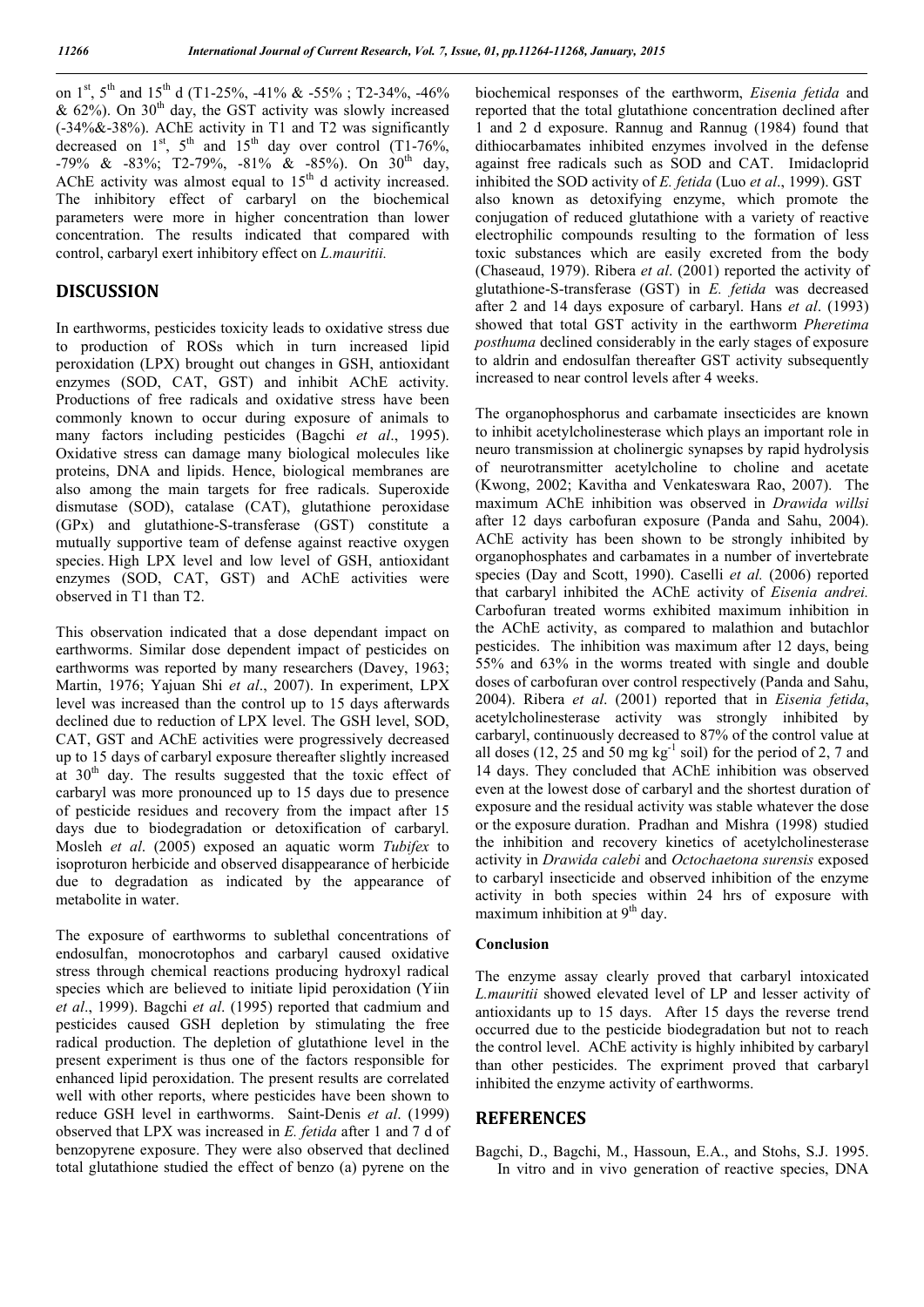on  $1^{st}$ ,  $5^{th}$  and  $15^{th}$  d (T1-25%, -41% & -55% ; T2-34%, -46% &  $62\%$ ). On  $30<sup>th</sup>$  day, the GST activity was slowly increased (-34%&-38%). AChE activity in T1 and T2 was significantly decreased on  $1^{st}$ ,  $5^{th}$  and  $15^{th}$  day over control (T1-76%, -79% & -83%; T2-79%, -81% & -85%). On 30<sup>th</sup> day, AChE activity was almost equal to  $15<sup>th</sup>$  d activity increased. The inhibitory effect of carbaryl on the biochemical parameters were more in higher concentration than lower concentration. The results indicated that compared with control, carbaryl exert inhibitory effect on *L.mauritii.*

## **DISCUSSION**

In earthworms, pesticides toxicity leads to oxidative stress due to production of ROSs which in turn increased lipid peroxidation (LPX) brought out changes in GSH, antioxidant enzymes (SOD, CAT, GST) and inhibit AChE activity. Productions of free radicals and oxidative stress have been commonly known to occur during exposure of animals to many factors including pesticides (Bagchi *et al*., 1995). Oxidative stress can damage many biological molecules like proteins, DNA and lipids. Hence, biological membranes are also among the main targets for free radicals. Superoxide dismutase (SOD), catalase (CAT), glutathione peroxidase (GPx) and glutathione-S-transferase (GST) constitute a mutually supportive team of defense against reactive oxygen species. High LPX level and low level of GSH, antioxidant enzymes (SOD, CAT, GST) and AChE activities were observed in T1 than T2.

This observation indicated that a dose dependant impact on earthworms. Similar dose dependent impact of pesticides on earthworms was reported by many researchers (Davey, 1963; Martin, 1976; Yajuan Shi *et al*., 2007). In experiment, LPX level was increased than the control up to 15 days afterwards declined due to reduction of LPX level. The GSH level, SOD, CAT, GST and AChE activities were progressively decreased up to 15 days of carbaryl exposure thereafter slightly increased at 30<sup>th</sup> day. The results suggested that the toxic effect of carbaryl was more pronounced up to 15 days due to presence of pesticide residues and recovery from the impact after 15 days due to biodegradation or detoxification of carbaryl. Mosleh *et al*. (2005) exposed an aquatic worm *Tubifex* to isoproturon herbicide and observed disappearance of herbicide due to degradation as indicated by the appearance of metabolite in water.

The exposure of earthworms to sublethal concentrations of endosulfan, monocrotophos and carbaryl caused oxidative stress through chemical reactions producing hydroxyl radical species which are believed to initiate lipid peroxidation (Yiin *et al*., 1999). Bagchi *et al*. (1995) reported that cadmium and pesticides caused GSH depletion by stimulating the free radical production. The depletion of glutathione level in the present experiment is thus one of the factors responsible for enhanced lipid peroxidation. The present results are correlated well with other reports, where pesticides have been shown to reduce GSH level in earthworms. Saint-Denis *et al*. (1999) observed that LPX was increased in *E. fetida* after 1 and 7 d of benzopyrene exposure. They were also observed that declined total glutathione studied the effect of benzo (a) pyrene on the biochemical responses of the earthworm, *Eisenia fetida* and reported that the total glutathione concentration declined after 1 and 2 d exposure. Rannug and Rannug (1984) found that dithiocarbamates inhibited enzymes involved in the defense against free radicals such as SOD and CAT. Imidacloprid inhibited the SOD activity of *E. fetida* (Luo *et al*., 1999). GST also known as detoxifying enzyme, which promote the conjugation of reduced glutathione with a variety of reactive electrophilic compounds resulting to the formation of less toxic substances which are easily excreted from the body (Chaseaud, 1979). Ribera *et al*. (2001) reported the activity of glutathione-S-transferase (GST) in *E. fetida* was decreased after 2 and 14 days exposure of carbaryl. Hans *et al*. (1993) showed that total GST activity in the earthworm *Pheretima posthuma* declined considerably in the early stages of exposure to aldrin and endosulfan thereafter GST activity subsequently increased to near control levels after 4 weeks.

The organophosphorus and carbamate insecticides are known to inhibit acetylcholinesterase which plays an important role in neuro transmission at cholinergic synapses by rapid hydrolysis of neurotransmitter acetylcholine to choline and acetate (Kwong, 2002; Kavitha and Venkateswara Rao, 2007). The maximum AChE inhibition was observed in *Drawida willsi*  after 12 days carbofuran exposure (Panda and Sahu, 2004). AChE activity has been shown to be strongly inhibited by organophosphates and carbamates in a number of invertebrate species (Day and Scott, 1990). Caselli *et al.* (2006) reported that carbaryl inhibited the AChE activity of *Eisenia andrei.* Carbofuran treated worms exhibited maximum inhibition in the AChE activity, as compared to malathion and butachlor pesticides. The inhibition was maximum after 12 days, being 55% and 63% in the worms treated with single and double doses of carbofuran over control respectively (Panda and Sahu, 2004). Ribera *et al*. (2001) reported that in *Eisenia fetida*, acetylcholinesterase activity was strongly inhibited by carbaryl, continuously decreased to 87% of the control value at all doses (12, 25 and 50 mg kg<sup>-1</sup> soil) for the period of 2, 7 and 14 days. They concluded that AChE inhibition was observed even at the lowest dose of carbaryl and the shortest duration of exposure and the residual activity was stable whatever the dose or the exposure duration. Pradhan and Mishra (1998) studied the inhibition and recovery kinetics of acetylcholinesterase activity in *Drawida calebi* and *Octochaetona surensis* exposed to carbaryl insecticide and observed inhibition of the enzyme activity in both species within 24 hrs of exposure with maximum inhibition at  $9<sup>th</sup>$  day.

### **Conclusion**

The enzyme assay clearly proved that carbaryl intoxicated *L.mauritii* showed elevated level of LP and lesser activity of antioxidants up to 15 days. After 15 days the reverse trend occurred due to the pesticide biodegradation but not to reach the control level. AChE activity is highly inhibited by carbaryl than other pesticides. The expriment proved that carbaryl inhibited the enzyme activity of earthworms.

## **REFERENCES**

Bagchi, D., Bagchi, M., Hassoun, E.A., and Stohs, S.J. 1995. In vitro and in vivo generation of reactive species, DNA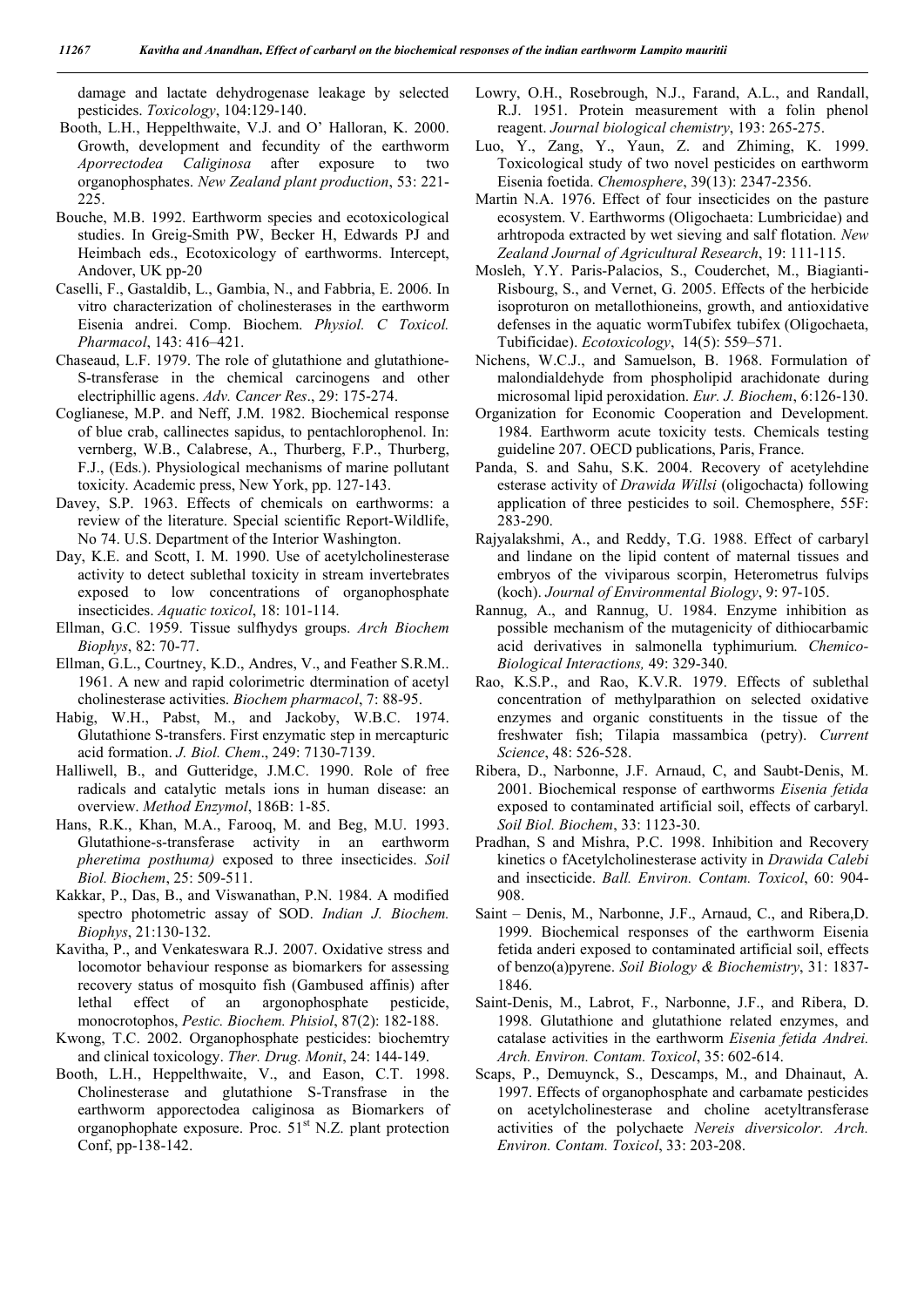damage and lactate dehydrogenase leakage by selected pesticides. *Toxicology*, 104:129-140.

- Booth, L.H., Heppelthwaite, V.J. and O' Halloran, K. 2000. Growth, development and fecundity of the earthworm *Aporrectodea Caliginosa* after exposure to two organophosphates. *New Zealand plant production*, 53: 221- 225.
- Bouche, M.B. 1992. Earthworm species and ecotoxicological studies. In Greig-Smith PW, Becker H, Edwards PJ and Heimbach eds., Ecotoxicology of earthworms. Intercept, Andover, UK pp-20
- Caselli, F., Gastaldib, L., Gambia, N., and Fabbria, E. 2006. In vitro characterization of cholinesterases in the earthworm Eisenia andrei. Comp. Biochem. *Physiol. C Toxicol. Pharmacol*, 143: 416–421.
- Chaseaud, L.F. 1979. The role of glutathione and glutathione-S-transferase in the chemical carcinogens and other electriphillic agens. *Adv. Cancer Res*., 29: 175-274.
- Coglianese, M.P. and Neff, J.M. 1982. Biochemical response of blue crab, callinectes sapidus, to pentachlorophenol. In: vernberg, W.B., Calabrese, A., Thurberg, F.P., Thurberg, F.J., (Eds.). Physiological mechanisms of marine pollutant toxicity. Academic press, New York, pp. 127-143.
- Davey, S.P. 1963. Effects of chemicals on earthworms: a review of the literature. Special scientific Report-Wildlife, No 74. U.S. Department of the Interior Washington.
- Day, K.E. and Scott, I. M. 1990. Use of acetylcholinesterase activity to detect sublethal toxicity in stream invertebrates exposed to low concentrations of organophosphate insecticides. *Aquatic toxicol*, 18: 101-114.
- Ellman, G.C. 1959. Tissue sulfhydys groups. *Arch Biochem Biophys*, 82: 70-77.
- Ellman, G.L., Courtney, K.D., Andres, V., and Feather S.R.M.. 1961. A new and rapid colorimetric dtermination of acetyl cholinesterase activities. *Biochem pharmacol*, 7: 88-95.
- Habig, W.H., Pabst, M., and Jackoby, W.B.C. 1974. Glutathione S-transfers. First enzymatic step in mercapturic acid formation. *J. Biol. Chem*., 249: 7130-7139.
- Halliwell, B., and Gutteridge, J.M.C. 1990. Role of free radicals and catalytic metals ions in human disease: an overview. *Method Enzymol*, 186B: 1-85.
- Hans, R.K., Khan, M.A., Farooq, M. and Beg, M.U. 1993. Glutathione-s-transferase activity in an earthworm *pheretima posthuma)* exposed to three insecticides. *Soil Biol. Biochem*, 25: 509-511.
- Kakkar, P., Das, B., and Viswanathan, P.N. 1984. A modified spectro photometric assay of SOD. *Indian J. Biochem. Biophys*, 21:130-132.
- Kavitha, P., and Venkateswara R.J. 2007. Oxidative stress and locomotor behaviour response as biomarkers for assessing recovery status of mosquito fish (Gambused affinis) after lethal effect of an argonophosphate pesticide, monocrotophos, *Pestic. Biochem. Phisiol*, 87(2): 182-188.
- Kwong, T.C. 2002. Organophosphate pesticides: biochemtry and clinical toxicology. *Ther. Drug. Monit*, 24: 144-149.
- Booth, L.H., Heppelthwaite, V., and Eason, C.T. 1998. Cholinesterase and glutathione S-Transfrase in the earthworm apporectodea caliginosa as Biomarkers of organophophate exposure. Proc. 51<sup>st</sup> N.Z. plant protection Conf, pp-138-142.
- Lowry, O.H., Rosebrough, N.J., Farand, A.L., and Randall, R.J. 1951. Protein measurement with a folin phenol reagent. *Journal biological chemistry*, 193: 265-275.
- Luo, Y., Zang, Y., Yaun, Z. and Zhiming, K. 1999. Toxicological study of two novel pesticides on earthworm Eisenia foetida. *Chemosphere*, 39(13): 2347-2356.
- Martin N.A. 1976. Effect of four insecticides on the pasture ecosystem. V. Earthworms (Oligochaeta: Lumbricidae) and arhtropoda extracted by wet sieving and salf flotation. *New Zealand Journal of Agricultural Research*, 19: 111-115.
- Mosleh, Y.Y. Paris-Palacios, S., Couderchet, M., Biagianti-Risbourg, S., and Vernet, G. 2005. Effects of the herbicide isoproturon on metallothioneins, growth, and antioxidative defenses in the aquatic wormTubifex tubifex (Oligochaeta, Tubificidae). *Ecotoxicology*, 14(5): 559–571.
- Nichens, W.C.J., and Samuelson, B. 1968. Formulation of malondialdehyde from phospholipid arachidonate during microsomal lipid peroxidation. *Eur. J. Biochem*, 6:126-130.
- Organization for Economic Cooperation and Development. 1984. Earthworm acute toxicity tests. Chemicals testing guideline 207. OECD publications, Paris, France.
- Panda, S. and Sahu, S.K. 2004. Recovery of acetylehdine esterase activity of *Drawida Willsi* (oligochacta) following application of three pesticides to soil. Chemosphere, 55F: 283-290.
- Rajyalakshmi, A., and Reddy, T.G. 1988. Effect of carbaryl and lindane on the lipid content of maternal tissues and embryos of the viviparous scorpin, Heterometrus fulvips (koch). *Journal of Environmental Biology*, 9: 97-105.
- Rannug, A., and Rannug, U. 1984. Enzyme inhibition as possible mechanism of the mutagenicity of dithiocarbamic acid derivatives in salmonella typhimurium. *Chemico-Biological Interactions,* 49: 329-340.
- Rao, K.S.P., and Rao, K.V.R. 1979. Effects of sublethal concentration of methylparathion on selected oxidative enzymes and organic constituents in the tissue of the freshwater fish; Tilapia massambica (petry). *Current Science*, 48: 526-528.
- Ribera, D., Narbonne, J.F. Arnaud, C, and Saubt-Denis, M. 2001. Biochemical response of earthworms *Eisenia fetida* exposed to contaminated artificial soil, effects of carbaryl. *Soil Biol. Biochem*, 33: 1123-30.
- Pradhan, S and Mishra, P.C. 1998. Inhibition and Recovery kinetics o fAcetylcholinesterase activity in *Drawida Calebi* and insecticide. *Ball. Environ. Contam. Toxicol*, 60: 904- 908.
- Saint Denis, M., Narbonne, J.F., Arnaud, C., and Ribera,D. 1999. Biochemical responses of the earthworm Eisenia fetida anderi exposed to contaminated artificial soil, effects of benzo(a)pyrene. *Soil Biology & Biochemistry*, 31: 1837- 1846.
- Saint-Denis, M., Labrot, F., Narbonne, J.F., and Ribera, D. 1998. Glutathione and glutathione related enzymes, and catalase activities in the earthworm *Eisenia fetida Andrei. Arch. Environ. Contam. Toxicol*, 35: 602-614.
- Scaps, P., Demuynck, S., Descamps, M., and Dhainaut, A. 1997. Effects of organophosphate and carbamate pesticides on acetylcholinesterase and choline acetyltransferase activities of the polychaete *Nereis diversicolor. Arch. Environ. Contam. Toxicol*, 33: 203-208.